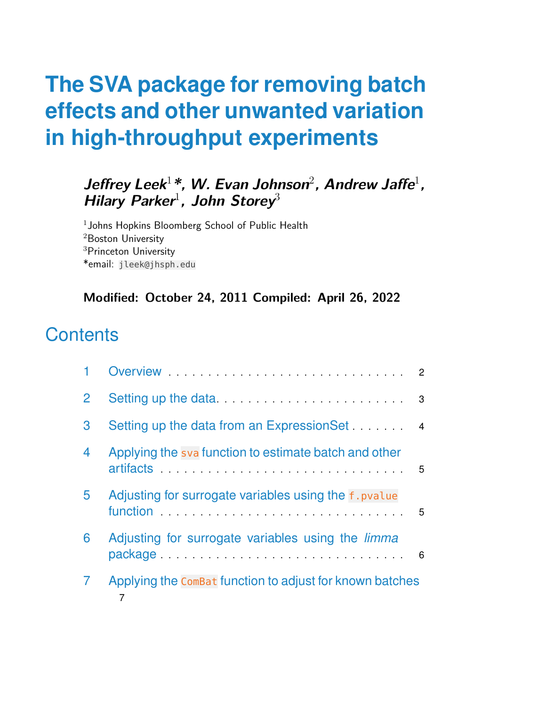### **Jeffrey Leek**<sup>1</sup>**\*, W. Evan Johnson**<sup>2</sup> **, Andrew Jaffe**<sup>1</sup> **, Hilary Parker**<sup>1</sup> **, John Storey**<sup>3</sup>

 $1$ Johns Hopkins Bloomberg School of Public Health <sup>2</sup>Boston University <sup>3</sup>Princeton University \*email: jleek@jhsph.edu

#### **Modified: October 24, 2011 Compiled: April 26, 2022**

### **Contents**

|   | Overview                                                                                                                                                                                                                                                                                   | $\overline{2}$ |
|---|--------------------------------------------------------------------------------------------------------------------------------------------------------------------------------------------------------------------------------------------------------------------------------------------|----------------|
| 2 |                                                                                                                                                                                                                                                                                            | 3              |
| 3 | Setting up the data from an ExpressionSet 4                                                                                                                                                                                                                                                |                |
| 4 | Applying the sva function to estimate batch and other<br>artifacts and the contract of the contract of the contract of the contract of the contract of the contract of                                                                                                                     | 5              |
| 5 | Adjusting for surrogate variables using the f. pvalue                                                                                                                                                                                                                                      | 5              |
| 6 | Adjusting for surrogate variables using the <i>limma</i><br>package entirely and the package of the contract of the package of the contract of the contract of the contract of the contract of the contract of the contract of the contract of the contract of the contract of the contrac | 6              |
|   | Applying the Combat function to adjust for known batches                                                                                                                                                                                                                                   |                |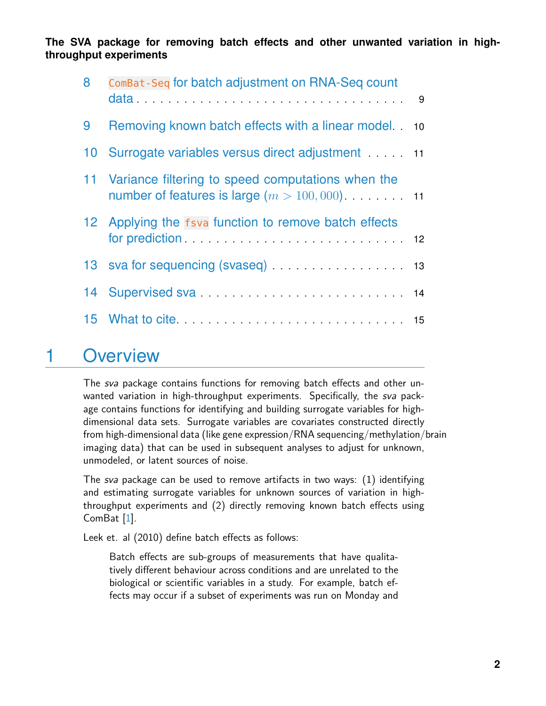| 8  | ComBat-Seq for batch adjustment on RNA-Seq count                                                          |    |
|----|-----------------------------------------------------------------------------------------------------------|----|
| 9  | Removing known batch effects with a linear model                                                          | 10 |
|    | 10 Surrogate variables versus direct adjustment 11                                                        |    |
|    | 11 Variance filtering to speed computations when the<br>number of features is large $(m > 100, 000)$ . 11 |    |
|    | 12 Applying the fsva function to remove batch effects                                                     |    |
|    | 13 sva for sequencing (svaseq) 13                                                                         |    |
| 14 |                                                                                                           |    |
|    |                                                                                                           |    |

### <span id="page-1-0"></span>1 Overview

The sva package contains functions for removing batch effects and other unwanted variation in high-throughput experiments. Specifically, the sva package contains functions for identifying and building surrogate variables for highdimensional data sets. Surrogate variables are covariates constructed directly from high-dimensional data (like gene expression/RNA sequencing/methylation/brain imaging data) that can be used in subsequent analyses to adjust for unknown, unmodeled, or latent sources of noise.

The sva package can be used to remove artifacts in two ways: (1) identifying and estimating surrogate variables for unknown sources of variation in highthroughput experiments and (2) directly removing known batch effects using ComBat [\[1\]](#page-15-0).

Leek et. al (2010) define batch effects as follows:

Batch effects are sub-groups of measurements that have qualitatively different behaviour across conditions and are unrelated to the biological or scientific variables in a study. For example, batch effects may occur if a subset of experiments was run on Monday and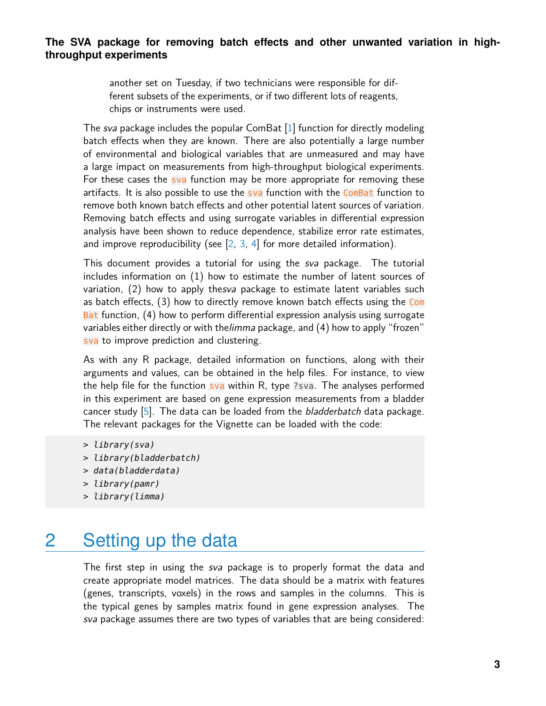another set on Tuesday, if two technicians were responsible for different subsets of the experiments, or if two different lots of reagents, chips or instruments were used.

The sva package includes the popular ComBat [\[1\]](#page-15-0) function for directly modeling batch effects when they are known. There are also potentially a large number of environmental and biological variables that are unmeasured and may have a large impact on measurements from high-throughput biological experiments. For these cases the sva function may be more appropriate for removing these artifacts. It is also possible to use the sva function with the ComBat function to remove both known batch effects and other potential latent sources of variation. Removing batch effects and using surrogate variables in differential expression analysis have been shown to reduce dependence, stabilize error rate estimates, and improve reproducibility (see  $[2, 3, 4]$  $[2, 3, 4]$  $[2, 3, 4]$  $[2, 3, 4]$  $[2, 3, 4]$  for more detailed information).

This document provides a tutorial for using the *sva* package. The tutorial includes information on (1) how to estimate the number of latent sources of variation, (2) how to apply thesva package to estimate latent variables such as batch effects, (3) how to directly remove known batch effects using the Com Bat function, (4) how to perform differential expression analysis using surrogate variables either directly or with the limma package, and (4) how to apply "frozen" sva to improve prediction and clustering.

As with any R package, detailed information on functions, along with their arguments and values, can be obtained in the help files. For instance, to view the help file for the function sva within R, type ?sva. The analyses performed in this experiment are based on gene expression measurements from a bladder cancer study  $[5]$ . The data can be loaded from the *bladderbatch* data package. The relevant packages for the Vignette can be loaded with the code:

- > library(bladderbatch)
- > data(bladderdata)
- > library(pamr)
- <span id="page-2-0"></span>> library(limma)

### 2 Setting up the data

The first step in using the sva package is to properly format the data and create appropriate model matrices. The data should be a matrix with features (genes, transcripts, voxels) in the rows and samples in the columns. This is the typical genes by samples matrix found in gene expression analyses. The sva package assumes there are two types of variables that are being considered:

<sup>&</sup>gt; library(sva)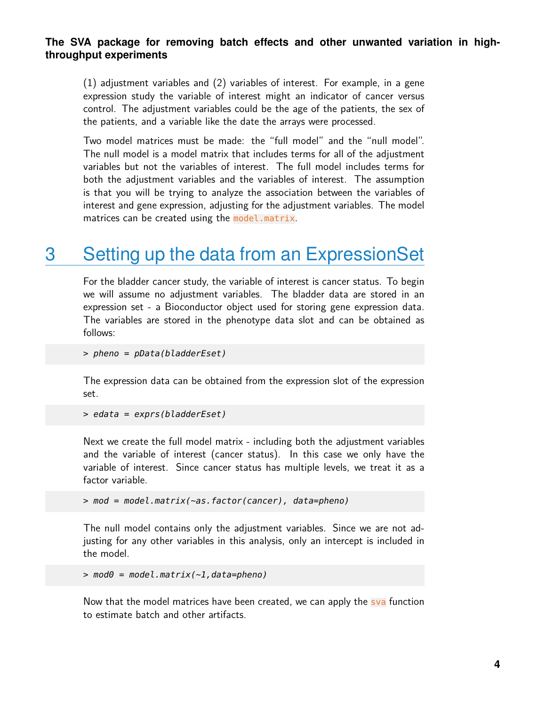(1) adjustment variables and (2) variables of interest. For example, in a gene expression study the variable of interest might an indicator of cancer versus control. The adjustment variables could be the age of the patients, the sex of the patients, and a variable like the date the arrays were processed.

Two model matrices must be made: the "full model" and the "null model". The null model is a model matrix that includes terms for all of the adjustment variables but not the variables of interest. The full model includes terms for both the adjustment variables and the variables of interest. The assumption is that you will be trying to analyze the association between the variables of interest and gene expression, adjusting for the adjustment variables. The model matrices can be created using the model.matrix.

# <span id="page-3-0"></span>3 Setting up the data from an ExpressionSet

For the bladder cancer study, the variable of interest is cancer status. To begin we will assume no adjustment variables. The bladder data are stored in an expression set - a Bioconductor object used for storing gene expression data. The variables are stored in the phenotype data slot and can be obtained as follows:

```
> pheno = pData(bladderEset)
```
The expression data can be obtained from the expression slot of the expression set.

```
> edata = exprs(bladderEset)
```
Next we create the full model matrix - including both the adjustment variables and the variable of interest (cancer status). In this case we only have the variable of interest. Since cancer status has multiple levels, we treat it as a factor variable.

```
> mod = model.matrix(~as.factor(cancer), data=pheno)
```
The null model contains only the adjustment variables. Since we are not adjusting for any other variables in this analysis, only an intercept is included in the model.

```
> mod\theta = model.matrix(\sim1,data=pheno)
```
<span id="page-3-1"></span>Now that the model matrices have been created, we can apply the sva function to estimate batch and other artifacts.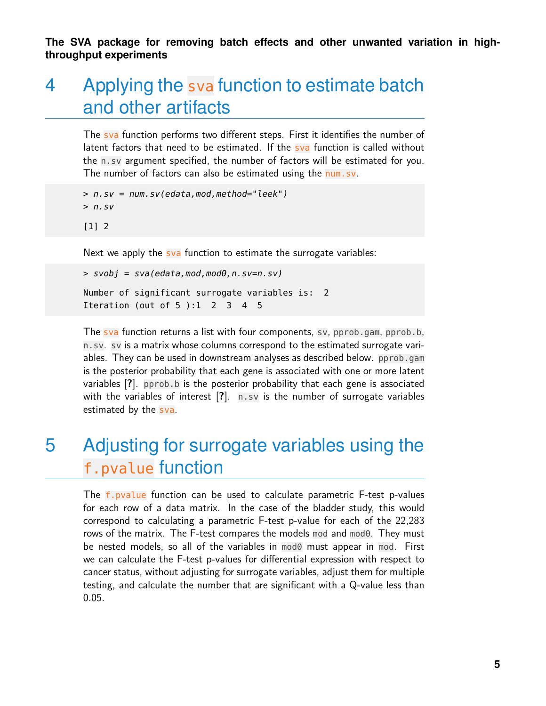# 4 Applying the sva function to estimate batch and other artifacts

The sva function performs two different steps. First it identifies the number of latent factors that need to be estimated. If the sva function is called without the n.sv argument specified, the number of factors will be estimated for you. The number of factors can also be estimated using the num.sv.

> n.sv = num.sv(edata,mod,method="leek")  $> n.sv$ [1] 2

Next we apply the sva function to estimate the surrogate variables:

```
> svobj = sva(edata,mod,mod0,n.sv=n.sv)
Number of significant surrogate variables is: 2
Iteration (out of 5 ):1 2 3 4 5
```
The sva function returns a list with four components, sv, pprob.gam, pprob.b, n.sv. sv is a matrix whose columns correspond to the estimated surrogate variables. They can be used in downstream analyses as described below. pprob.gam is the posterior probability that each gene is associated with one or more latent variables [**?**]. pprob.b is the posterior probability that each gene is associated with the variables of interest [?]. n.sv is the number of surrogate variables estimated by the sva.

# <span id="page-4-0"></span>5 Adjusting for surrogate variables using the f.pvalue function

The f.pvalue function can be used to calculate parametric F-test p-values for each row of a data matrix. In the case of the bladder study, this would correspond to calculating a parametric F-test p-value for each of the 22,283 rows of the matrix. The F-test compares the models mod and mod0. They must be nested models, so all of the variables in mod0 must appear in mod. First we can calculate the F-test p-values for differential expression with respect to cancer status, without adjusting for surrogate variables, adjust them for multiple testing, and calculate the number that are significant with a Q-value less than 0.05.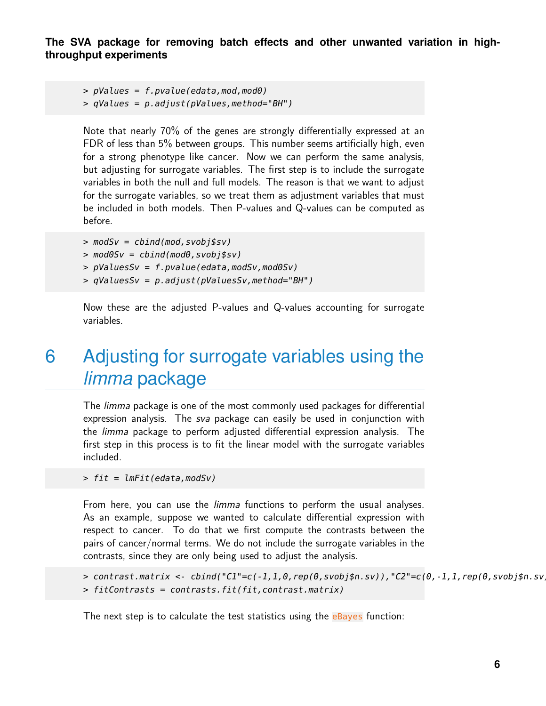```
> pValues = f.pvalue(edata, mod, mod0)
```
 $> qValues = p.addjust(pValues, method="BH")$ 

Note that nearly 70% of the genes are strongly differentially expressed at an FDR of less than 5% between groups. This number seems artificially high, even for a strong phenotype like cancer. Now we can perform the same analysis, but adjusting for surrogate variables. The first step is to include the surrogate variables in both the null and full models. The reason is that we want to adjust for the surrogate variables, so we treat them as adjustment variables that must be included in both models. Then P-values and Q-values can be computed as before.

```
> modSv = cbind(mod, svobj$sv)
```
- $>$  mod $0Sv =$  cbind(mod $0,$ svobj\$sv)
- > pValuesSv = f.pvalue(edata,modSv,mod0Sv)
- > qValuesSv = p.adjust(pValuesSv,method="BH")

<span id="page-5-0"></span>Now these are the adjusted P-values and Q-values accounting for surrogate variables.

# 6 Adjusting for surrogate variables using the *limma* package

The *limma* package is one of the most commonly used packages for differential expression analysis. The sva package can easily be used in conjunction with the limma package to perform adjusted differential expression analysis. The first step in this process is to fit the linear model with the surrogate variables included.

> fit = lmFit(edata,modSv)

From here, you can use the *limma* functions to perform the usual analyses. As an example, suppose we wanted to calculate differential expression with respect to cancer. To do that we first compute the contrasts between the pairs of cancer/normal terms. We do not include the surrogate variables in the contrasts, since they are only being used to adjust the analysis.

```
> contrast.matrix <- cbind("C1"=c(-1,1,0,rep(0,svobj$n.sv)),"C2"=c(0,-1,1,rep(0,svobj$n.sv
> fitContrasts = contrasts.fit(fit,contrast.matrix)
```
The next step is to calculate the test statistics using the eBayes function: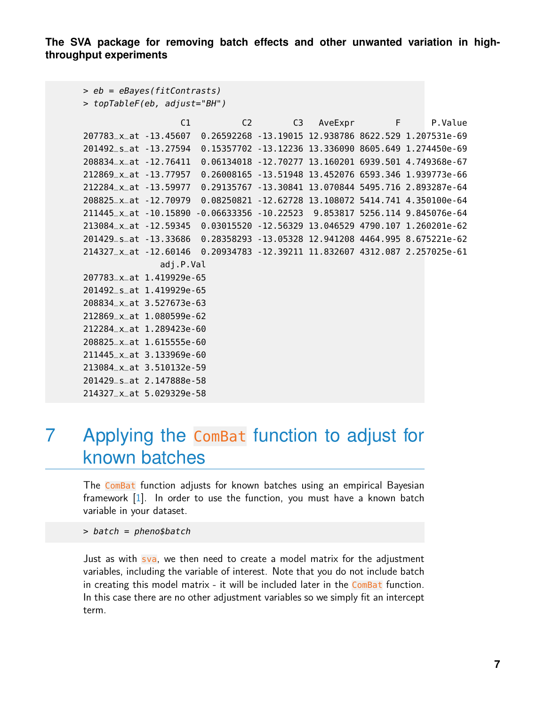```
> eb = eBayes(fitContrasts)
```

```
> topTableF(eb, adjust="BH")
```
C1 C2 C3 AveExpr F P.Value 207783\_x\_at -13.45607 0.26592268 -13.19015 12.938786 8622.529 1.207531e-69 201492\_s\_at -13.27594 0.15357702 -13.12236 13.336090 8605.649 1.274450e-69 208834\_x\_at -12.76411 0.06134018 -12.70277 13.160201 6939.501 4.749368e-67 212869\_x\_at -13.77957 0.26008165 -13.51948 13.452076 6593.346 1.939773e-66 212284\_x\_at -13.59977 0.29135767 -13.30841 13.070844 5495.716 2.893287e-64 208825\_x\_at -12.70979 0.08250821 -12.62728 13.108072 5414.741 4.350100e-64 211445\_x\_at -10.15890 -0.06633356 -10.22523 9.853817 5256.114 9.845076e-64 213084\_x\_at -12.59345 0.03015520 -12.56329 13.046529 4790.107 1.260201e-62 201429\_s\_at -13.33686 0.28358293 -13.05328 12.941208 4464.995 8.675221e-62 214327\_x\_at -12.60146 0.20934783 -12.39211 11.832607 4312.087 2.257025e-61 adj.P.Val 207783\_x\_at 1.419929e-65 201492\_s\_at 1.419929e-65 208834\_x\_at 3.527673e-63 212869\_x\_at 1.080599e-62 212284\_x\_at 1.289423e-60 208825\_x\_at 1.615555e-60 211445\_x\_at 3.133969e-60 213084\_x\_at 3.510132e-59 201429\_s\_at 2.147888e-58 214327\_x\_at 5.029329e-58

### <span id="page-6-0"></span>7 Applying the ComBat function to adjust for known batches

The ComBat function adjusts for known batches using an empirical Bayesian framework [\[1\]](#page-15-0). In order to use the function, you must have a known batch variable in your dataset.

> batch = pheno\$batch

Just as with sva, we then need to create a model matrix for the adjustment variables, including the variable of interest. Note that you do not include batch in creating this model matrix - it will be included later in the ComBat function. In this case there are no other adjustment variables so we simply fit an intercept term.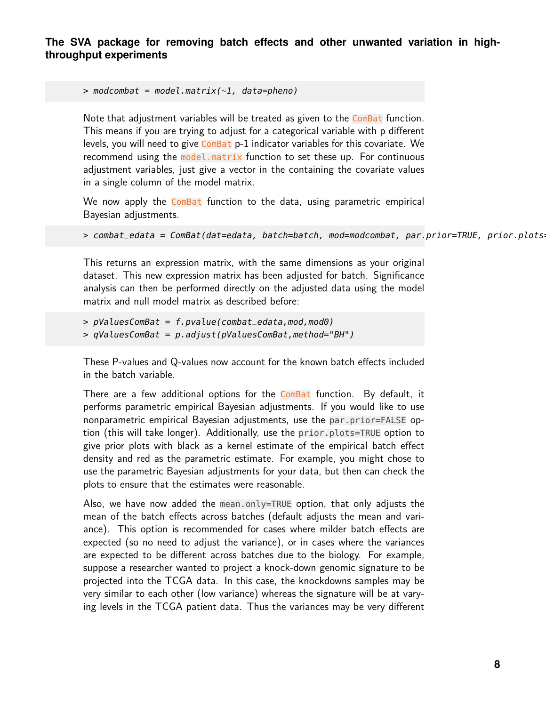```
> modcombat = model.matrix(\sim1, data=pheno)
```
Note that adjustment variables will be treated as given to the ComBat function. This means if you are trying to adjust for a categorical variable with p different levels, you will need to give  $Com$ Bat  $p-1$  indicator variables for this covariate. We recommend using the model.matrix function to set these up. For continuous adjustment variables, just give a vector in the containing the covariate values in a single column of the model matrix.

We now apply the ComBat function to the data, using parametric empirical Bayesian adjustments.

> combat\_edata = ComBat(dat=edata, batch=batch, mod=modcombat, par.prior=TRUE, prior.plots

This returns an expression matrix, with the same dimensions as your original dataset. This new expression matrix has been adjusted for batch. Significance analysis can then be performed directly on the adjusted data using the model matrix and null model matrix as described before:

 $> pValuesComBat = f.pvalue(combat_e data,mod,mod0)$ > qValuesComBat = p.adjust(pValuesComBat,method="BH")

These P-values and Q-values now account for the known batch effects included in the batch variable.

There are a few additional options for the ComBat function. By default, it performs parametric empirical Bayesian adjustments. If you would like to use nonparametric empirical Bayesian adjustments, use the par.prior=FALSE option (this will take longer). Additionally, use the prior.plots=TRUE option to give prior plots with black as a kernel estimate of the empirical batch effect density and red as the parametric estimate. For example, you might chose to use the parametric Bayesian adjustments for your data, but then can check the plots to ensure that the estimates were reasonable.

Also, we have now added the mean.only=TRUE option, that only adjusts the mean of the batch effects across batches (default adjusts the mean and variance). This option is recommended for cases where milder batch effects are expected (so no need to adjust the variance), or in cases where the variances are expected to be different across batches due to the biology. For example, suppose a researcher wanted to project a knock-down genomic signature to be projected into the TCGA data. In this case, the knockdowns samples may be very similar to each other (low variance) whereas the signature will be at varying levels in the TCGA patient data. Thus the variances may be very different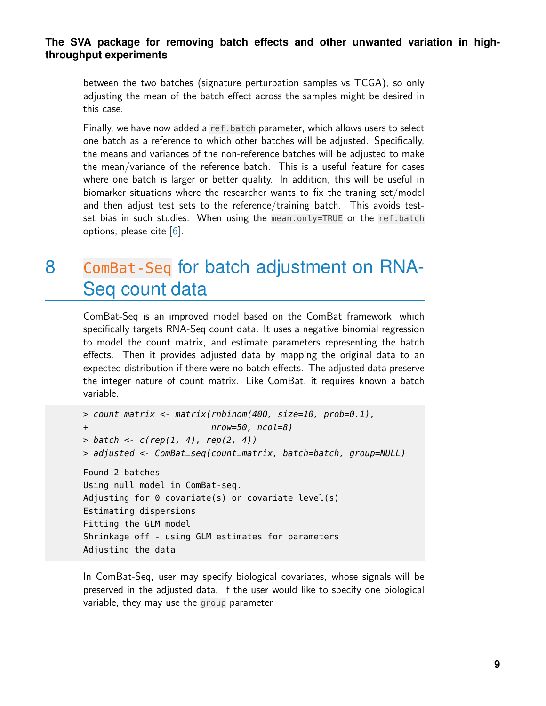between the two batches (signature perturbation samples vs TCGA), so only adjusting the mean of the batch effect across the samples might be desired in this case.

Finally, we have now added a ref.batch parameter, which allows users to select one batch as a reference to which other batches will be adjusted. Specifically, the means and variances of the non-reference batches will be adjusted to make the mean/variance of the reference batch. This is a useful feature for cases where one batch is larger or better quality. In addition, this will be useful in biomarker situations where the researcher wants to fix the traning set/model and then adjust test sets to the reference/training batch. This avoids testset bias in such studies. When using the mean.only=TRUE or the ref.batch options, please cite [\[6\]](#page-15-5).

### <span id="page-8-0"></span>8 ComBat-Seq for batch adjustment on RNA-Seq count data

ComBat-Seq is an improved model based on the ComBat framework, which specifically targets RNA-Seq count data. It uses a negative binomial regression to model the count matrix, and estimate parameters representing the batch effects. Then it provides adjusted data by mapping the original data to an expected distribution if there were no batch effects. The adjusted data preserve the integer nature of count matrix. Like ComBat, it requires known a batch variable.

```
> count_matrix <- matrix(rnbinom(400, size=10, prob=0.1),
+ nrow=50, ncol=8)
> batch < c(rep(1, 4), rep(2, 4))> adjusted <- ComBat_seq(count_matrix, batch=batch, group=NULL)
Found 2 batches
Using null model in ComBat-seq.
Adjusting for 0 covariate(s) or covariate level(s)
Estimating dispersions
Fitting the GLM model
Shrinkage off - using GLM estimates for parameters
Adjusting the data
```
In ComBat-Seq, user may specify biological covariates, whose signals will be preserved in the adjusted data. If the user would like to specify one biological variable, they may use the group parameter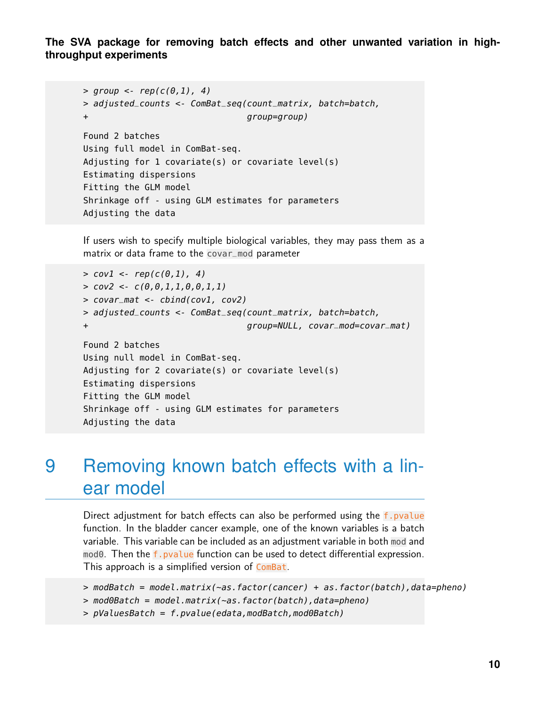```
> group \lt- rep(c(0,1), 4)
> adjusted_counts <- ComBat_seq(count_matrix, batch=batch,
+ group=group)
Found 2 batches
Using full model in ComBat-seq.
Adjusting for 1 covariate(s) or covariate level(s)
Estimating dispersions
Fitting the GLM model
Shrinkage off - using GLM estimates for parameters
Adjusting the data
```
If users wish to specify multiple biological variables, they may pass them as a matrix or data frame to the covar\_mod parameter

```
> cov1 < -rep(c(0,1), 4)> cov2 < -c(0, 0, 1, 1, 0, 0, 1, 1)> covar_mat <- cbind(cov1, cov2)
> adjusted_counts <- ComBat_seq(count_matrix, batch=batch,
+ group=NULL, covar_mod=covar_mat)
Found 2 batches
Using null model in ComBat-seq.
Adjusting for 2 covariate(s) or covariate level(s)
Estimating dispersions
Fitting the GLM model
Shrinkage off - using GLM estimates for parameters
Adjusting the data
```
### <span id="page-9-0"></span>9 Removing known batch effects with a linear model

Direct adjustment for batch effects can also be performed using the f.pvalue function. In the bladder cancer example, one of the known variables is a batch variable. This variable can be included as an adjustment variable in both mod and mod0. Then the f.pvalue function can be used to detect differential expression. This approach is a simplified version of ComBat.

```
> modBatch = model.matrix(~as.factor(cancer) + as.factor(batch),data=pheno)
```
- > mod0Batch = model.matrix(~as.factor(batch),data=pheno)
- $> pValuesBatch = f.pvalue(edata, modelBatch, modelBatch)$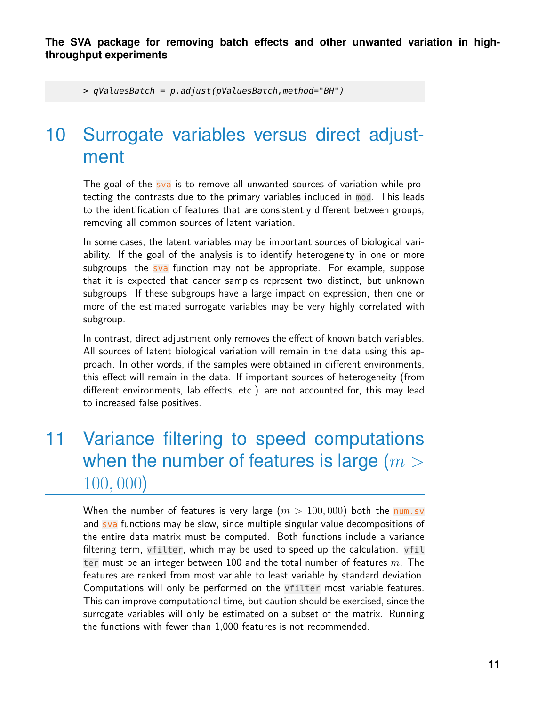<span id="page-10-0"></span>> qValuesBatch = p.adjust(pValuesBatch,method="BH")

# 10 Surrogate variables versus direct adjustment

The goal of the sva is to remove all unwanted sources of variation while protecting the contrasts due to the primary variables included in mod. This leads to the identification of features that are consistently different between groups, removing all common sources of latent variation.

In some cases, the latent variables may be important sources of biological variability. If the goal of the analysis is to identify heterogeneity in one or more subgroups, the  $sva$  function may not be appropriate. For example, suppose that it is expected that cancer samples represent two distinct, but unknown subgroups. If these subgroups have a large impact on expression, then one or more of the estimated surrogate variables may be very highly correlated with subgroup.

In contrast, direct adjustment only removes the effect of known batch variables. All sources of latent biological variation will remain in the data using this approach. In other words, if the samples were obtained in different environments, this effect will remain in the data. If important sources of heterogeneity (from different environments, lab effects, etc.) are not accounted for, this may lead to increased false positives.

# <span id="page-10-1"></span>11 Variance filtering to speed computations when the number of features is large ( $m >$ 100, 000)

When the number of features is very large  $(m > 100, 000)$  both the num.sv and sva functions may be slow, since multiple singular value decompositions of the entire data matrix must be computed. Both functions include a variance filtering term, vfilter, which may be used to speed up the calculation. vfil ter must be an integer between 100 and the total number of features  $m$ . The features are ranked from most variable to least variable by standard deviation. Computations will only be performed on the vfilter most variable features. This can improve computational time, but caution should be exercised, since the surrogate variables will only be estimated on a subset of the matrix. Running the functions with fewer than 1,000 features is not recommended.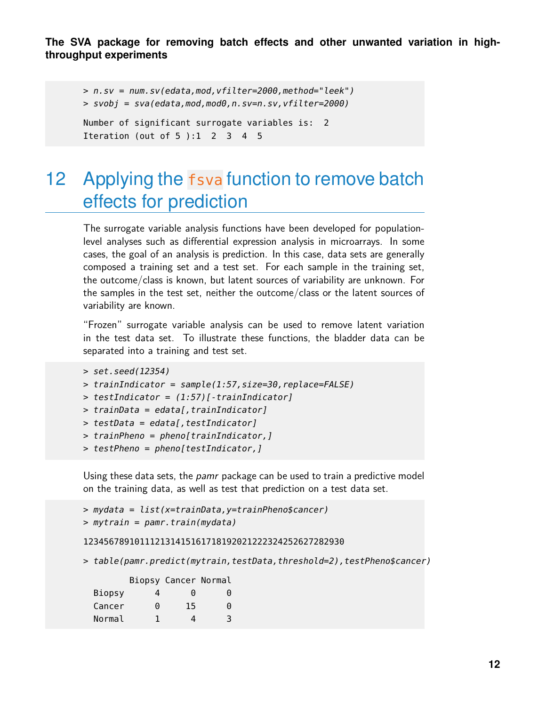```
> n.sv = num.sv(edata,mod,vfilter=2000,method="leek")
> svobj = sva(edata,mod,mod0,n.sv=n.sv,vfilter=2000)
Number of significant surrogate variables is: 2
Iteration (out of 5):1 2 3 4 5
```
### <span id="page-11-0"></span>12 Applying the fsva function to remove batch effects for prediction

The surrogate variable analysis functions have been developed for populationlevel analyses such as differential expression analysis in microarrays. In some cases, the goal of an analysis is prediction. In this case, data sets are generally composed a training set and a test set. For each sample in the training set, the outcome/class is known, but latent sources of variability are unknown. For the samples in the test set, neither the outcome/class or the latent sources of variability are known.

"Frozen" surrogate variable analysis can be used to remove latent variation in the test data set. To illustrate these functions, the bladder data can be separated into a training and test set.

```
> set.seed(12354)
```

```
> trainIndicator = sample(1:57,size=30,replace=FALSE)
```

```
> testIndicator = (1:57)[-trainIndicator]
```

```
> trainData = edata[, trainIndicator]
```
 $>$  testData = edata[, testIndicator]

```
> trainPheno = pheno[trainIndicator,]
```
> testPheno = pheno[testIndicator,]

Using these data sets, the *pamr* package can be used to train a predictive model on the training data, as well as test that prediction on a test data set.

```
> mydata = list(x=trainData,y=trainPheno$cancer)
> mytrain = pamr.train(mydata)
```
#### 123456789101112131415161718192021222324252627282930

```
> table(pamr.predict(mytrain,testData,threshold=2),testPheno$cancer)
```

|        |   | Biopsy Cancer Normal |   |
|--------|---|----------------------|---|
| Biopsy | 4 | 0                    | 0 |
| Cancer | 0 | 15                   | 0 |
| Normal | 1 | 4                    | 3 |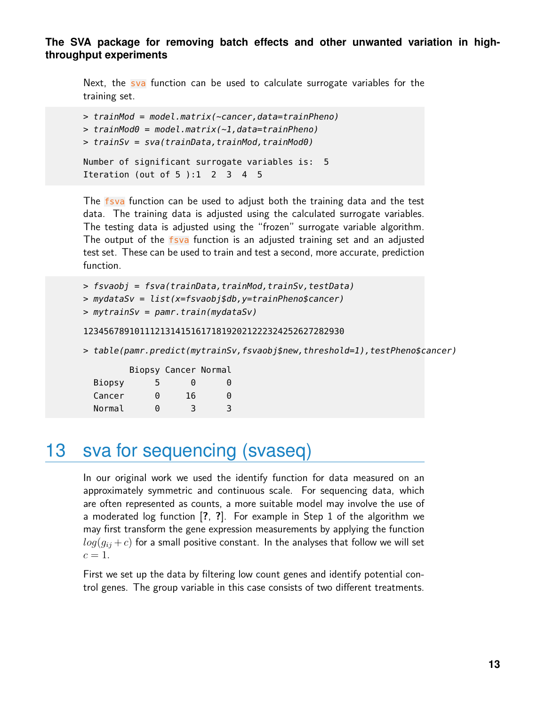Next, the sva function can be used to calculate surrogate variables for the training set.

```
> trainMod = model.matrix(~cancer,data=trainPheno)
> trainMod0 = model.matrix(\sim1,data=trainPheno)
> trainSv = sva(trainData,trainMod,trainMod0)
Number of significant surrogate variables is: 5
Iteration (out of 5 ):1 2 3 4 5
```
The fsva function can be used to adjust both the training data and the test data. The training data is adjusted using the calculated surrogate variables. The testing data is adjusted using the "frozen" surrogate variable algorithm. The output of the fsva function is an adjusted training set and an adjusted test set. These can be used to train and test a second, more accurate, prediction function.

> fsvaobj = fsva(trainData,trainMod,trainSv,testData)

```
> mydataSv = list(x=fsvaobj$db,y=trainPheno$cancer)
```

```
> mytrainSv = pamr.train(mydataSv)
```
123456789101112131415161718192021222324252627282930

```
> table(pamr.predict(mytrainSv,fsvaobj$new,threshold=1),testPheno$cancer)
```

|        |     | Biopsy Cancer Normal   |   |
|--------|-----|------------------------|---|
| Biopsy | 5   | $\left( \cdot \right)$ | 0 |
| Cancer | ี ค | 16                     | 0 |
| Normal | ี ค | 3                      | 3 |

### <span id="page-12-0"></span>13 sva for sequencing (svaseq)

In our original work we used the identify function for data measured on an approximately symmetric and continuous scale. For sequencing data, which are often represented as counts, a more suitable model may involve the use of a moderated log function [**?**, **?**]. For example in Step 1 of the algorithm we may first transform the gene expression measurements by applying the function  $log(g_{ij}+c)$  for a small positive constant. In the analyses that follow we will set  $c=1$ .

First we set up the data by filtering low count genes and identify potential control genes. The group variable in this case consists of two different treatments.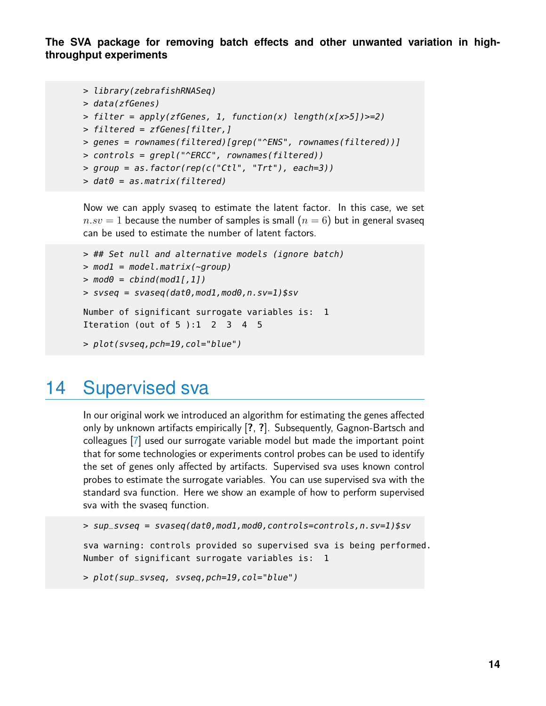```
> library(zebrafishRNASeq)
```

```
> data(zfGenes)
```

```
> filter = apply(zfGenes, 1, function(x) length(x[x>5])>=2)
```

```
> filtered = zfGenes[filter,]
```

```
> genes = rownames(filtered)[grep("^ENS", rownames(filtered))]
```

```
> controls = grepl("^ERCC", rownames(filtered))
```

```
> group = as.factor(rep(c("Ctl", "Trt"), each=3))
```

```
> dat\theta = as.matrix(filtered)
```
Now we can apply svaseq to estimate the latent factor. In this case, we set  $n.sv = 1$  because the number of samples is small  $(n = 6)$  but in general svaseq can be used to estimate the number of latent factors.

```
> ## Set null and alternative models (ignore batch)
> \text{mod}1 = \text{model}.\text{matrix}(\text{--group})> \text{mod}\theta = \text{cbind}(\text{mod}1[,1])> svseq = svaseq(dat0, mod1, mod0, n.sv=1)$sv
Number of significant surrogate variables is: 1
Iteration (out of 5):1 2 3 4 5
> plot(svseq,pch=19,col="blue")
```
### <span id="page-13-0"></span>14 Supervised sva

In our original work we introduced an algorithm for estimating the genes affected only by unknown artifacts empirically [**?**, **?**]. Subsequently, Gagnon-Bartsch and colleagues [\[7\]](#page-15-6) used our surrogate variable model but made the important point that for some technologies or experiments control probes can be used to identify the set of genes only affected by artifacts. Supervised sva uses known control probes to estimate the surrogate variables. You can use supervised sva with the standard sva function. Here we show an example of how to perform supervised sva with the svaseq function.

```
> sup_svseq = svaseq(dat0,mod1,mod0,controls=controls,n.sv=1)$sv
```
sva warning: controls provided so supervised sva is being performed. Number of significant surrogate variables is: 1

```
> plot(sup_svseq, svseq,pch=19,col="blue")
```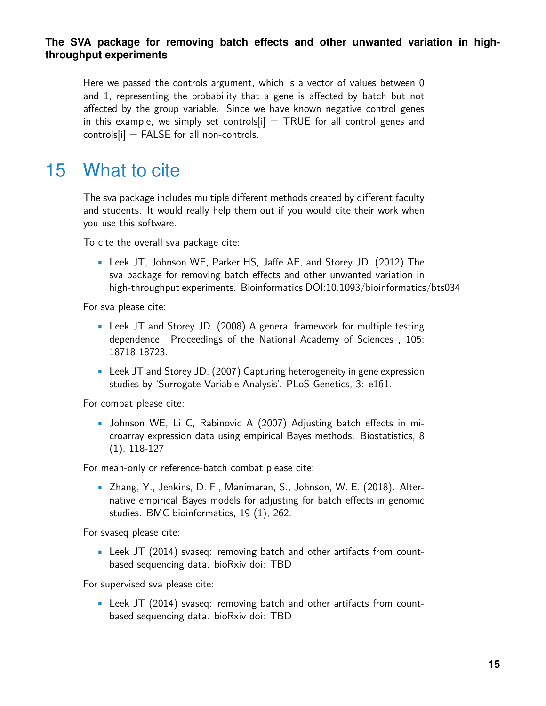Here we passed the controls argument, which is a vector of values between 0 and 1, representing the probability that a gene is affected by batch but not affected by the group variable. Since we have known negative control genes in this example, we simply set controls  $[i]$  = TRUE for all control genes and  $controls[i] = FALSE$  for all non-controls.

### <span id="page-14-0"></span>15 What to cite

The sva package includes multiple different methods created by different faculty and students. It would really help them out if you would cite their work when you use this software.

To cite the overall sva package cite:

• Leek JT, Johnson WE, Parker HS, Jaffe AE, and Storey JD. (2012) The sva package for removing batch effects and other unwanted variation in high-throughput experiments. Bioinformatics DOI:10.1093/bioinformatics/bts034

For sva please cite:

- Leek JT and Storey JD. (2008) A general framework for multiple testing dependence. Proceedings of the National Academy of Sciences , 105: 18718-18723.
- Leek JT and Storey JD. (2007) Capturing heterogeneity in gene expression studies by 'Surrogate Variable Analysis'. PLoS Genetics, 3: e161.

For combat please cite:

• Johnson WE, Li C, Rabinovic A (2007) Adjusting batch effects in microarray expression data using empirical Bayes methods. Biostatistics, 8 (1), 118-127

For mean-only or reference-batch combat please cite:

• Zhang, Y., Jenkins, D. F., Manimaran, S., Johnson, W. E. (2018). Alternative empirical Bayes models for adjusting for batch effects in genomic studies. BMC bioinformatics, 19 (1), 262.

For svaseq please cite:

• Leek JT (2014) svaseq: removing batch and other artifacts from countbased sequencing data. bioRxiv doi: TBD

For supervised sva please cite:

• Leek JT (2014) svaseq: removing batch and other artifacts from countbased sequencing data. bioRxiv doi: TBD